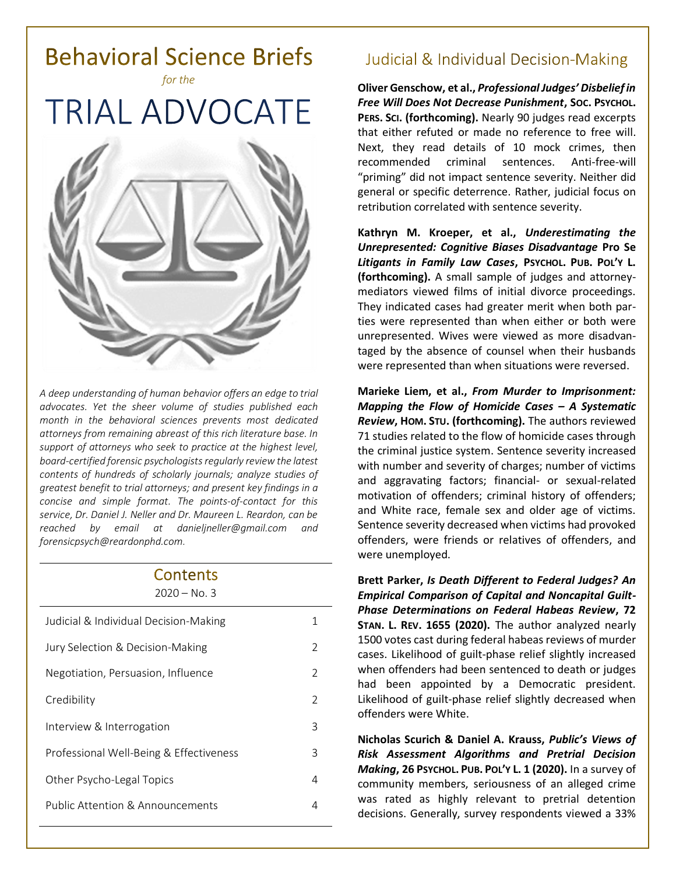

*A deep understanding of human behavior offers an edge to trial advocates. Yet the sheer volume of studies published each month in the behavioral sciences prevents most dedicated attorneys from remaining abreast of this rich literature base. In support of attorneys who seek to practice at the highest level, board-certified forensic psychologists regularly review the latest contents of hundreds of scholarly journals; analyze studies of greatest benefit to trial attorneys; and present key findings in a concise and simple format. The points-of-contact for this service, Dr. Daniel J. Neller and Dr. Maureen L. Reardon, can be reached by email at [danieljneller@gmail.com](mailto:danieljneller@gmail.com) and [forensicpsych@reardonphd.com.](mailto:forensicpsych@reardonphd.com)* 

#### Contents 2020 – No. 3

| $7070 - 190.5$                          |                |
|-----------------------------------------|----------------|
| Judicial & Individual Decision-Making   | 1              |
| Jury Selection & Decision-Making        | $\mathcal{P}$  |
| Negotiation, Persuasion, Influence      | 2              |
| Credibility                             | $\mathfrak{D}$ |
| Interview & Interrogation               | 3              |
| Professional Well-Being & Effectiveness | 3              |
| Other Psycho-Legal Topics               | 4              |
| Public Attention & Announcements        | 4              |
|                                         |                |

# **Judicial & Individual Decision-Making**

**Oliver Genschow, et al.,** *Professional Judges' Disbelief in Free Will Does Not Decrease Punishment***, SOC. PSYCHOL. PERS. SCI. (forthcoming).** Nearly 90 judges read excerpts that either refuted or made no reference to free will. Next, they read details of 10 mock crimes, then recommended criminal sentences. Anti-free-will "priming" did not impact sentence severity. Neither did general or specific deterrence. Rather, judicial focus on retribution correlated with sentence severity.

**Kathryn M. Kroeper, et al.,** *Underestimating the Unrepresented: Cognitive Biases Disadvantage* **Pro Se**  *Litigants in Family Law Cases***, PSYCHOL. PUB. POL'Y L. (forthcoming).** A small sample of judges and attorneymediators viewed films of initial divorce proceedings. They indicated cases had greater merit when both parties were represented than when either or both were unrepresented. Wives were viewed as more disadvantaged by the absence of counsel when their husbands were represented than when situations were reversed.

**Marieke Liem, et al.,** *From Murder to Imprisonment: Mapping the Flow of Homicide Cases – A Systematic Review***, HOM. STU. (forthcoming).** The authors reviewed 71 studies related to the flow of homicide cases through the criminal justice system. Sentence severity increased with number and severity of charges; number of victims and aggravating factors; financial- or sexual-related motivation of offenders; criminal history of offenders; and White race, female sex and older age of victims. Sentence severity decreased when victims had provoked offenders, were friends or relatives of offenders, and were unemployed.

**Brett Parker,** *Is Death Different to Federal Judges? An Empirical Comparison of Capital and Noncapital Guilt-Phase Determinations on Federal Habeas Review***, 72 STAN. L. REV. 1655 (2020).** The author analyzed nearly 1500 votes cast during federal habeas reviews of murder cases. Likelihood of guilt-phase relief slightly increased when offenders had been sentenced to death or judges had been appointed by a Democratic president. Likelihood of guilt-phase relief slightly decreased when offenders were White.

**Nicholas Scurich & Daniel A. Krauss,** *Public's Views of Risk Assessment Algorithms and Pretrial Decision Making***, 26 PSYCHOL. PUB. POL'Y L. 1 (2020).** In a survey of community members, seriousness of an alleged crime was rated as highly relevant to pretrial detention decisions. Generally, survey respondents viewed a 33%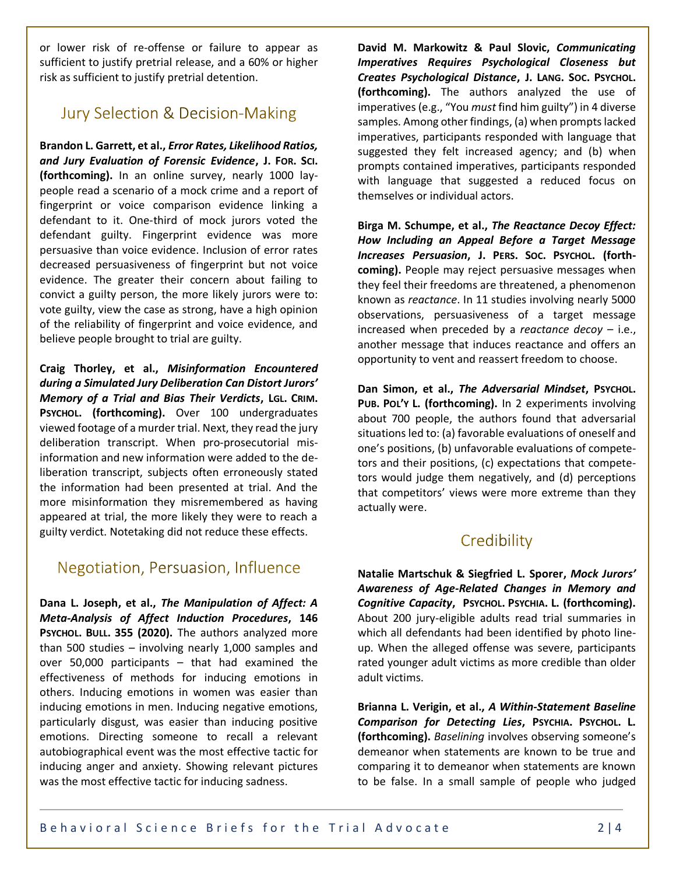or lower risk of re-offense or failure to appear as sufficient to justify pretrial release, and a 60% or higher risk as sufficient to justify pretrial detention.

## **Jury Selection & Decision-Making**

**Brandon L. Garrett, et al.,** *Error Rates, Likelihood Ratios, and Jury Evaluation of Forensic Evidence***, J. FOR. SCI. (forthcoming).** In an online survey, nearly 1000 laypeople read a scenario of a mock crime and a report of fingerprint or voice comparison evidence linking a defendant to it. One-third of mock jurors voted the defendant guilty. Fingerprint evidence was more persuasive than voice evidence. Inclusion of error rates decreased persuasiveness of fingerprint but not voice evidence. The greater their concern about failing to convict a guilty person, the more likely jurors were to: vote guilty, view the case as strong, have a high opinion of the reliability of fingerprint and voice evidence, and believe people brought to trial are guilty.

**Craig Thorley, et al.,** *Misinformation Encountered during a Simulated Jury Deliberation Can Distort Jurors' Memory of a Trial and Bias Their Verdicts***, LGL. CRIM. PSYCHOL. (forthcoming).** Over 100 undergraduates viewed footage of a murder trial. Next, they read the jury deliberation transcript. When pro-prosecutorial misinformation and new information were added to the deliberation transcript, subjects often erroneously stated the information had been presented at trial. And the more misinformation they misremembered as having appeared at trial, the more likely they were to reach a guilty verdict. Notetaking did not reduce these effects.

### Negotiation, Persuasion, Influence

**Dana L. Joseph, et al.,** *The Manipulation of Affect: A Meta-Analysis of Affect Induction Procedures***, 146 PSYCHOL. BULL. 355 (2020).** The authors analyzed more than 500 studies – involving nearly 1,000 samples and over 50,000 participants – that had examined the effectiveness of methods for inducing emotions in others. Inducing emotions in women was easier than inducing emotions in men. Inducing negative emotions, particularly disgust, was easier than inducing positive emotions. Directing someone to recall a relevant autobiographical event was the most effective tactic for inducing anger and anxiety. Showing relevant pictures was the most effective tactic for inducing sadness.

**David M. Markowitz & Paul Slovic,** *Communicating Imperatives Requires Psychological Closeness but Creates Psychological Distance***, J. LANG. SOC. PSYCHOL. (forthcoming).** The authors analyzed the use of imperatives (e.g., "You *must* find him guilty") in 4 diverse samples. Among other findings, (a) when prompts lacked imperatives, participants responded with language that suggested they felt increased agency; and (b) when prompts contained imperatives, participants responded with language that suggested a reduced focus on themselves or individual actors.

**Birga M. Schumpe, et al.,** *The Reactance Decoy Effect: How Including an Appeal Before a Target Message Increases Persuasion***, J. PERS. SOC. PSYCHOL. (forthcoming).** People may reject persuasive messages when they feel their freedoms are threatened, a phenomenon known as *reactance*. In 11 studies involving nearly 5000 observations, persuasiveness of a target message increased when preceded by a *reactance decoy* – i.e., another message that induces reactance and offers an opportunity to vent and reassert freedom to choose.

**Dan Simon, et al.,** *The Adversarial Mindset***, PSYCHOL. PUB. POL'Y L. (forthcoming).** In 2 experiments involving about 700 people, the authors found that adversarial situations led to: (a) favorable evaluations of oneself and one's positions, (b) unfavorable evaluations of competetors and their positions, (c) expectations that competetors would judge them negatively, and (d) perceptions that competitors' views were more extreme than they actually were.

### Credibility

**Natalie Martschuk & Siegfried L. Sporer,** *Mock Jurors' Awareness of Age-Related Changes in Memory and Cognitive Capacity***, PSYCHOL. PSYCHIA. L. (forthcoming).**  About 200 jury-eligible adults read trial summaries in which all defendants had been identified by photo lineup. When the alleged offense was severe, participants rated younger adult victims as more credible than older adult victims.

**Brianna L. Verigin, et al.,** *A Within-Statement Baseline Comparison for Detecting Lies***, PSYCHIA. PSYCHOL. L. (forthcoming).** *Baselining* involves observing someone's demeanor when statements are known to be true and comparing it to demeanor when statements are known to be false. In a small sample of people who judged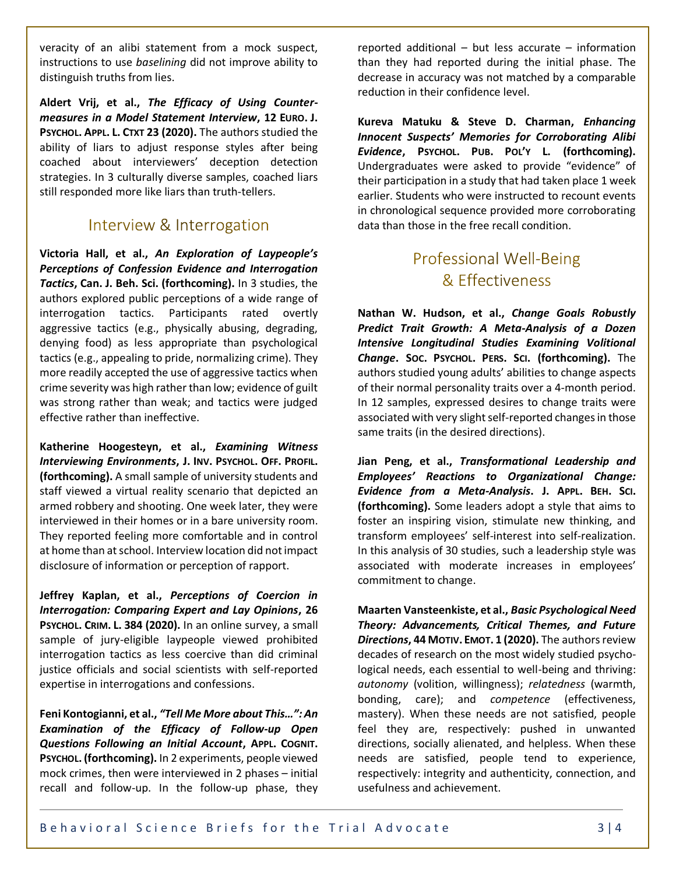veracity of an alibi statement from a mock suspect, instructions to use *baselining* did not improve ability to distinguish truths from lies.

**Aldert Vrij, et al.,** *The Efficacy of Using Countermeasures in a Model Statement Interview***, 12 EURO. J. PSYCHOL. APPL. L. CTXT 23 (2020).** The authors studied the ability of liars to adjust response styles after being coached about interviewers' deception detection strategies. In 3 culturally diverse samples, coached liars still responded more like liars than truth-tellers.

#### Interview & Interrogation

**Victoria Hall, et al.,** *An Exploration of Laypeople's Perceptions of Confession Evidence and Interrogation Tactics***, Can. J. Beh. Sci. (forthcoming).** In 3 studies, the authors explored public perceptions of a wide range of interrogation tactics. Participants rated overtly aggressive tactics (e.g., physically abusing, degrading, denying food) as less appropriate than psychological tactics (e.g., appealing to pride, normalizing crime). They more readily accepted the use of aggressive tactics when crime severity was high rather than low; evidence of guilt was strong rather than weak; and tactics were judged effective rather than ineffective.

**Katherine Hoogesteyn, et al.,** *Examining Witness Interviewing Environments***, J. INV. PSYCHOL. OFF. PROFIL. (forthcoming).** A small sample of university students and staff viewed a virtual reality scenario that depicted an armed robbery and shooting. One week later, they were interviewed in their homes or in a bare university room. They reported feeling more comfortable and in control at home than at school. Interview location did not impact disclosure of information or perception of rapport.

**Jeffrey Kaplan, et al.,** *Perceptions of Coercion in Interrogation: Comparing Expert and Lay Opinions***, 26 PSYCHOL. CRIM. L. 384 (2020).** In an online survey, a small sample of jury-eligible laypeople viewed prohibited interrogation tactics as less coercive than did criminal justice officials and social scientists with self-reported expertise in interrogations and confessions.

**Feni Kontogianni, et al.,** *"Tell Me More about This…": An Examination of the Efficacy of Follow-up Open Questions Following an Initial Account***, APPL. COGNIT. PSYCHOL. (forthcoming).** In 2 experiments, people viewed mock crimes, then were interviewed in 2 phases – initial recall and follow-up. In the follow-up phase, they reported additional – but less accurate – information than they had reported during the initial phase. The decrease in accuracy was not matched by a comparable reduction in their confidence level.

**Kureva Matuku & Steve D. Charman,** *Enhancing Innocent Suspects' Memories for Corroborating Alibi Evidence***, PSYCHOL. PUB. POL'Y L. (forthcoming).** Undergraduates were asked to provide "evidence" of their participation in a study that had taken place 1 week earlier. Students who were instructed to recount events in chronological sequence provided more corroborating data than those in the free recall condition.

# **Professional Well-Being** & Effectiveness

**Nathan W. Hudson, et al.,** *Change Goals Robustly Predict Trait Growth: A Meta-Analysis of a Dozen Intensive Longitudinal Studies Examining Volitional Change***. SOC. PSYCHOL. PERS. SCI. (forthcoming).** The authors studied young adults' abilities to change aspects of their normal personality traits over a 4-month period. In 12 samples, expressed desires to change traits were associated with very slight self-reported changes in those same traits (in the desired directions).

**Jian Peng, et al.,** *Transformational Leadership and Employees' Reactions to Organizational Change: Evidence from a Meta-Analysis***. J. APPL. BEH. SCI. (forthcoming).** Some leaders adopt a style that aims to foster an inspiring vision, stimulate new thinking, and transform employees' self-interest into self-realization. In this analysis of 30 studies, such a leadership style was associated with moderate increases in employees' commitment to change.

**Maarten Vansteenkiste, et al.,** *Basic Psychological Need Theory: Advancements, Critical Themes, and Future Directions***, 44 MOTIV. EMOT. 1 (2020).** The authors review decades of research on the most widely studied psychological needs, each essential to well-being and thriving: *autonomy* (volition, willingness); *relatedness* (warmth, bonding, care); and *competence* (effectiveness, mastery). When these needs are not satisfied, people feel they are, respectively: pushed in unwanted directions, socially alienated, and helpless. When these needs are satisfied, people tend to experience, respectively: integrity and authenticity, connection, and usefulness and achievement.